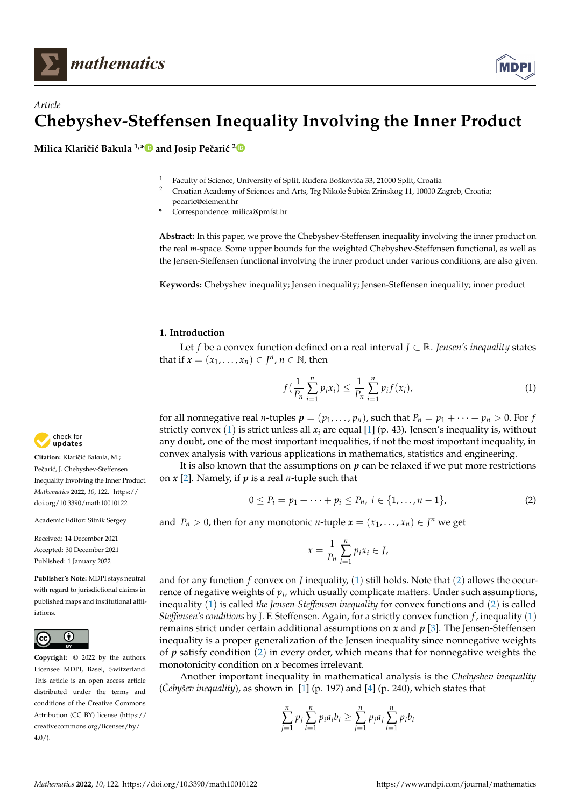

# *Article* **Chebyshev-Steffensen Inequality Involving the Inner Product**

**Milica Klaričić Bakula<sup>1,</sup><sup>[\\*](https://orcid.org/0000-0002-8753-2186)</sup>** and Josip Pečarić<sup>[2](https://orcid.org/0000-0002-5510-2085)</sup>

- <sup>1</sup> Faculty of Science, University of Split, Ruđera Boškovića 33, 21000 Split, Croatia <sup>2</sup> Croatia desempt of Sciences and Arts. The Nikole Šubiés Zrinskos 11, 10000 Z
- <sup>2</sup> Croatian Academy of Sciences and Arts, Trg Nikole Šubi´ca Zrinskog 11, 10000 Zagreb, Croatia;
- pecaric@element.hr
- **\*** Correspondence: milica@pmfst.hr

**Abstract:** In this paper, we prove the Chebyshev-Steffensen inequality involving the inner product on the real *m*-space. Some upper bounds for the weighted Chebyshev-Steffensen functional, as well as the Jensen-Steffensen functional involving the inner product under various conditions, are also given.

**Keywords:** Chebyshev inequality; Jensen inequality; Jensen-Steffensen inequality; inner product

## **1. Introduction**

Let *f* be a convex function defined on a real interval *J* ⊂ R. *Jensen's inequality* states that if  $x = (x_1, \ldots, x_n) \in J^n$ ,  $n \in \mathbb{N}$ , then

<span id="page-0-0"></span>
$$
f(\frac{1}{P_n}\sum_{i=1}^n p_i x_i) \leq \frac{1}{P_n}\sum_{i=1}^n p_i f(x_i),
$$
 (1)

for all nonnegative real *n*-tuples  $p = (p_1, \ldots, p_n)$ , such that  $P_n = p_1 + \cdots + p_n > 0$ . For *f* strictly convex ([1](#page-0-0)) is strict unless all *x<sup>i</sup>* are equal [\[1\]](#page-15-0) (p. 43). Jensen's inequality is, without any doubt, one of the most important inequalities, if not the most important inequality, in convex analysis with various applications in mathematics, statistics and engineering.

It is also known that the assumptions on  $p$  can be relaxed if we put more restrictions on *x* [\[2\]](#page-15-1). Namely, if *p* is a real *n*-tuple such that

<span id="page-0-1"></span>
$$
0 \le P_i = p_1 + \dots + p_i \le P_n, \ i \in \{1, \dots, n-1\},\tag{2}
$$

and  $P_n > 0$ , then for any monotonic *n*-tuple  $x = (x_1, \ldots, x_n) \in J^n$  we get

$$
\overline{x} = \frac{1}{P_n} \sum_{i=1}^n p_i x_i \in J,
$$

and for any function *f* convex on *J* inequality,  $(1)$  $(1)$  $(1)$  still holds. Note that  $(2)$  $(2)$  $(2)$  allows the occurrence of negative weights of *p<sup>i</sup>* , which usually complicate matters. Under such assumptions, inequality ([1](#page-0-0)) is called *the Jensen-Steffensen inequality* for convex functions and ([2](#page-0-1)) is called *Steffensen's conditions* by J. F. Steffensen. Again, for a strictly convex function *f* , inequality ([1](#page-0-0)) remains strict under certain additional assumptions on *x* and *p* [\[3\]](#page-15-2). The Jensen-Steffensen inequality is a proper generalization of the Jensen inequality since nonnegative weights of  $p$  satisfy condition  $(2)$  $(2)$  $(2)$  in every order, which means that for nonnegative weights the monotonicity condition on *x* becomes irrelevant.

Another important inequality in mathematical analysis is the *Chebyshev inequality*  $(\check{C}eby\check{c}ev\;inequality)$ , as shown in [\[1\]](#page-15-0) (p. 197) and [\[4\]](#page-15-3) (p. 240), which states that

$$
\sum_{j=1}^{n} p_j \sum_{i=1}^{n} p_i a_i b_i \ge \sum_{j=1}^{n} p_j a_j \sum_{i=1}^{n} p_i b_i
$$



**Citation:** Klaričić Bakula, M.; Pečarić, J. Chebyshev-Steffensen Inequality Involving the Inner Product. *Mathematics* **2022**, *10*, 122. [https://](https://doi.org/10.3390/math10010122) [doi.org/10.3390/math10010122](https://doi.org/10.3390/math10010122)

Academic Editor: Sitnik Sergey

Received: 14 December 2021 Accepted: 30 December 2021 Published: 1 January 2022

**Publisher's Note:** MDPI stays neutral with regard to jurisdictional claims in published maps and institutional affiliations.



**Copyright:** © 2022 by the authors. Licensee MDPI, Basel, Switzerland. This article is an open access article distributed under the terms and conditions of the Creative Commons Attribution (CC BY) license [\(https://](https://creativecommons.org/licenses/by/4.0/) [creativecommons.org/licenses/by/](https://creativecommons.org/licenses/by/4.0/)  $4.0/$ ).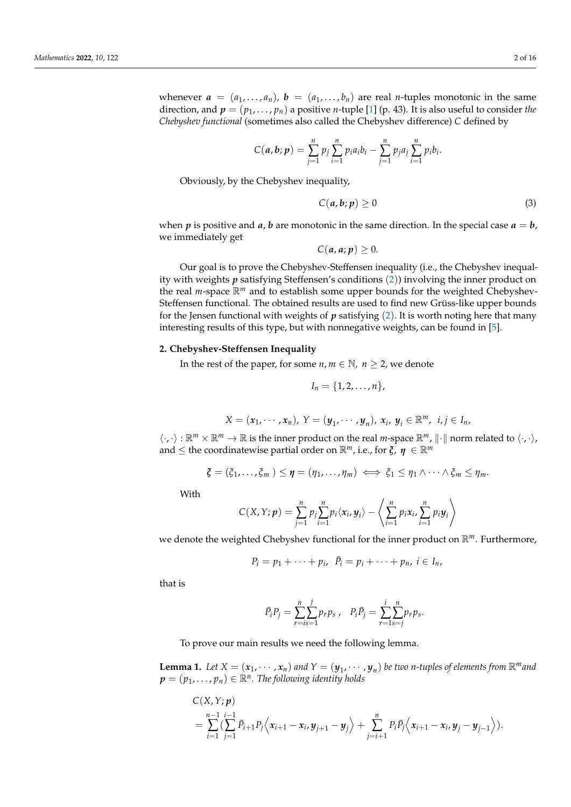whenever  $a = (a_1, \ldots, a_n)$ ,  $b = (a_1, \ldots, b_n)$  are real *n*-tuples monotonic in the same direction, and  $p = (p_1, \ldots, p_n)$  a positive *n*-tuple [\[1\]](#page-15-0) (p. 43). It is also useful to consider *the Chebyshev functional* (sometimes also called the Chebyshev difference) *C* defined by

$$
C(a,b;p) = \sum_{j=1}^n p_j \sum_{i=1}^n p_i a_i b_i - \sum_{j=1}^n p_j a_j \sum_{i=1}^n p_i b_i.
$$

Obviously, by the Chebyshev inequality,

<span id="page-1-1"></span>
$$
C(a,b;p) \ge 0 \tag{3}
$$

when *p* is positive and *a*, *b* are monotonic in the same direction. In the special case  $a = b$ , we immediately get

$$
C(a,a;p)\geq 0.
$$

Our goal is to prove the Chebyshev-Steffensen inequality (i.e., the Chebyshev inequality with weights *p* satisfying Steffensen's conditions ([2](#page-0-1))) involving the inner product on the real *m*-space R*<sup>m</sup>* and to establish some upper bounds for the weighted Chebyshev-Steffensen functional. The obtained results are used to find new Grüss-like upper bounds for the Jensen functional with weights of  $p$  satisfying  $(2)$  $(2)$  $(2)$ . It is worth noting here that many interesting results of this type, but with nonnegative weights, can be found in [\[5\]](#page-15-4).

#### <span id="page-1-2"></span>**2. Chebyshev-Steffensen Inequality**

In the rest of the paper, for some  $n, m \in \mathbb{N}$ ,  $n \ge 2$ , we denote

$$
I_n=\{1,2,\ldots,n\},\,
$$

$$
X=(x_1,\cdots,x_n), Y=(y_1,\cdots,y_n), x_i, y_i\in\mathbb{R}^m, i,j\in I_n,
$$

 $\langle \cdot, \cdot \rangle : \mathbb{R}^m \times \mathbb{R}^m \to \mathbb{R}$  is the inner product on the real *m*-space  $\mathbb{R}^m$ ,  $\|\cdot\|$  norm related to  $\langle \cdot, \cdot \rangle$ , and  $\leq$  the coordinatewise partial order on  $\mathbb{R}^m$ , i.e., for  $\zeta$ ,  $\eta \in \mathbb{R}^m$ 

$$
\xi=(\xi_1,\ldots,\xi_m)\leq\eta=(\eta_1,\ldots,\eta_m)\iff\xi_1\leq\eta_1\wedge\cdots\wedge\xi_m\leq\eta_m.
$$

With

$$
C(X,Y;\boldsymbol{p})=\sum_{j=1}^n p_j \sum_{i=1}^n p_i \langle x_i, y_i \rangle - \left\langle \sum_{i=1}^n p_i x_i, \sum_{i=1}^n p_i y_i \right\rangle
$$

we denote the weighted Chebyshev functional for the inner product on R*m*. Furthermore,

$$
P_i=p_1+\cdots+p_i, \ \ \bar{P}_i=p_i+\cdots+p_n, \ i\in I_n,
$$

that is

$$
\bar{P}_i P_j = \sum_{r=is=1}^n \sum_{j=is=1}^j p_r p_s \,, \quad P_i \bar{P}_j = \sum_{r=1}^i \sum_{s=j}^n p_r p_s.
$$

To prove our main results we need the following lemma.

<span id="page-1-0"></span>**Lemma 1.** Let  $X = (x_1, \dots, x_n)$  and  $Y = (y_1, \dots, y_n)$  be two *n*-tuples of elements from  $\mathbb{R}^m$  and  $\pmb{p} = (p_1, \dots, p_n) \in \mathbb{R}^n.$  The following identity holds

$$
C(X,Y; p) = \sum_{i=1}^{n-1} \sum_{j=1}^{i-1} \bar{P}_{i+1} P_j \Big\langle x_{i+1} - x_i, y_{j+1} - y_j \Big\rangle + \sum_{j=i+1}^{n} P_i \bar{P}_j \Big\langle x_{i+1} - x_i, y_j - y_{j-1} \Big\rangle).
$$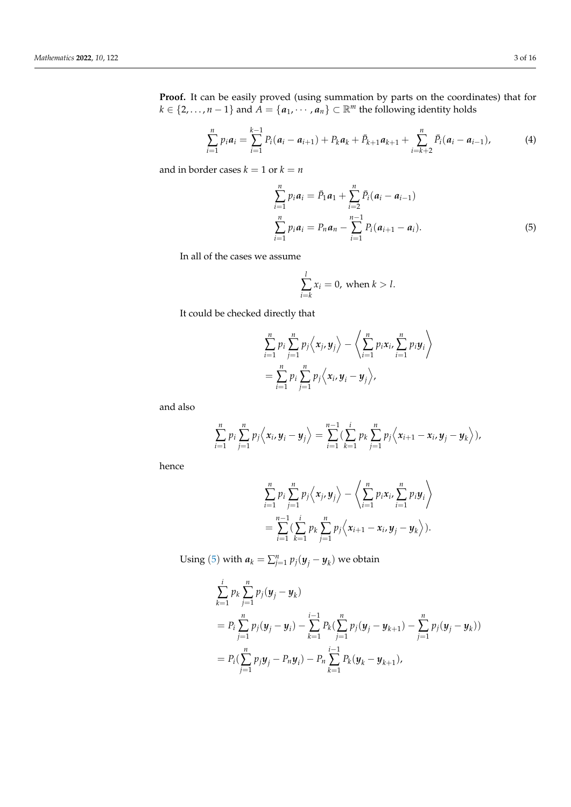**Proof.** It can be easily proved (using summation by parts on the coordinates) that for  $k \in \{2, ..., n-1\}$  and  $\overline{A} = \{a_1, \cdots, a_n\} \subset \mathbb{R}^m$  the following identity holds

<span id="page-2-1"></span>
$$
\sum_{i=1}^{n} p_i a_i = \sum_{i=1}^{k-1} P_i (a_i - a_{i+1}) + P_k a_k + \bar{P}_{k+1} a_{k+1} + \sum_{i=k+2}^{n} \bar{P}_i (a_i - a_{i-1}),
$$
\n(4)

and in border cases  $k = 1$  or  $k = n$ 

$$
\sum_{i=1}^{n} p_i a_i = \bar{P}_1 a_1 + \sum_{i=2}^{n} \bar{P}_i (a_i - a_{i-1})
$$
  

$$
\sum_{i=1}^{n} p_i a_i = P_n a_n - \sum_{i=1}^{n-1} P_i (a_{i+1} - a_i).
$$
 (5)

In all of the cases we assume

<span id="page-2-0"></span>
$$
\sum_{i=k}^{l} x_i = 0, \text{ when } k > l.
$$

It could be checked directly that

$$
\sum_{i=1}^n p_i \sum_{j=1}^n p_j \langle x_j, y_j \rangle - \langle \sum_{i=1}^n p_i x_i, \sum_{i=1}^n p_i y_i \rangle
$$
  
= 
$$
\sum_{i=1}^n p_i \sum_{j=1}^n p_j \langle x_i, y_i - y_j \rangle,
$$

and also

$$
\sum_{i=1}^n p_i \sum_{j=1}^n p_j \langle x_i, y_i - y_j \rangle = \sum_{i=1}^{n-1} \left( \sum_{k=1}^i p_k \sum_{j=1}^n p_j \langle x_{i+1} - x_i, y_j - y_k \rangle \right),
$$

hence

$$
\sum_{i=1}^n p_i \sum_{j=1}^n p_j \langle x_j, y_j \rangle - \langle \sum_{i=1}^n p_i x_i, \sum_{i=1}^n p_i y_i \rangle
$$
  
= 
$$
\sum_{i=1}^{n-1} \left( \sum_{k=1}^i p_k \sum_{j=1}^n p_j \langle x_{i+1} - x_i, y_j - y_k \rangle \right).
$$

Using ([5](#page-2-0)) with  $a_k = \sum_{j=1}^n p_j(y_j - y_k)$  we obtain

$$
\sum_{k=1}^{i} p_k \sum_{j=1}^{n} p_j (\mathbf{y}_j - \mathbf{y}_k)
$$
\n
$$
= P_i \sum_{j=1}^{n} p_j (\mathbf{y}_j - \mathbf{y}_i) - \sum_{k=1}^{i-1} P_k (\sum_{j=1}^{n} p_j (\mathbf{y}_j - \mathbf{y}_{k+1}) - \sum_{j=1}^{n} p_j (\mathbf{y}_j - \mathbf{y}_k))
$$
\n
$$
= P_i (\sum_{j=1}^{n} p_j \mathbf{y}_j - P_n \mathbf{y}_i) - P_n \sum_{k=1}^{i-1} P_k (\mathbf{y}_k - \mathbf{y}_{k+1}),
$$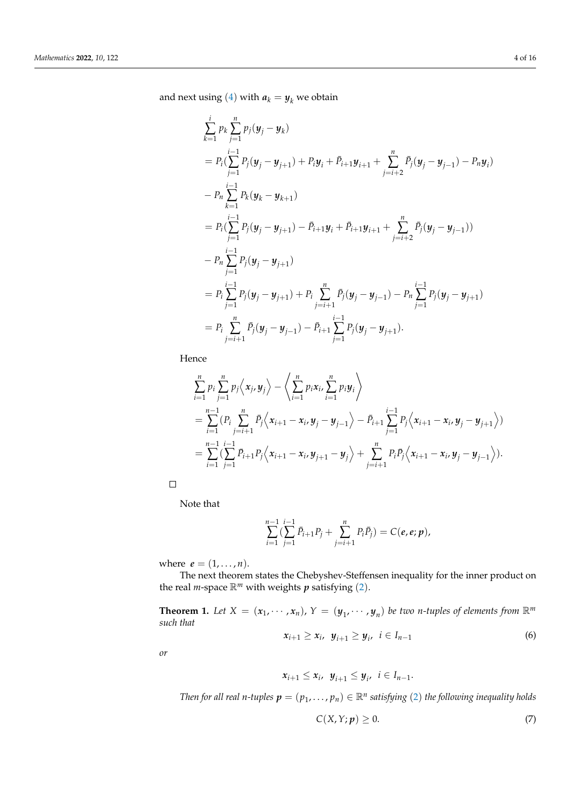and next using ([4](#page-2-1)) with  $a_k = y_k$  we obtain

$$
\sum_{k=1}^{i} p_k \sum_{j=1}^{n} p_j (\mathbf{y}_j - \mathbf{y}_k)
$$
\n
$$
= P_i (\sum_{j=1}^{i-1} P_j (\mathbf{y}_j - \mathbf{y}_{j+1}) + P_i \mathbf{y}_i + \bar{P}_{i+1} \mathbf{y}_{i+1} + \sum_{j=i+2}^{n} \bar{P}_j (\mathbf{y}_j - \mathbf{y}_{j-1}) - P_n \mathbf{y}_i)
$$
\n
$$
- P_n \sum_{k=1}^{i-1} P_k (\mathbf{y}_k - \mathbf{y}_{k+1})
$$
\n
$$
= P_i (\sum_{j=1}^{i-1} P_j (\mathbf{y}_j - \mathbf{y}_{j+1}) - \bar{P}_{i+1} \mathbf{y}_i + \bar{P}_{i+1} \mathbf{y}_{i+1} + \sum_{j=i+2}^{n} \bar{P}_j (\mathbf{y}_j - \mathbf{y}_{j-1}))
$$
\n
$$
- P_n \sum_{j=1}^{i-1} P_j (\mathbf{y}_j - \mathbf{y}_{j+1})
$$
\n
$$
= P_i \sum_{j=1}^{i-1} P_j (\mathbf{y}_j - \mathbf{y}_{j+1}) + P_i \sum_{j=i+1}^{n} \bar{P}_j (\mathbf{y}_j - \mathbf{y}_{j-1}) - P_n \sum_{j=1}^{i-1} P_j (\mathbf{y}_j - \mathbf{y}_{j+1})
$$
\n
$$
= P_i \sum_{j=i+1}^{n} \bar{P}_j (\mathbf{y}_j - \mathbf{y}_{j-1}) - \bar{P}_{i+1} \sum_{j=1}^{i-1} P_j (\mathbf{y}_j - \mathbf{y}_{j+1}).
$$

Hence

$$
\sum_{i=1}^{n} p_i \sum_{j=1}^{n} p_j \langle x_j, y_j \rangle - \langle \sum_{i=1}^{n} p_i x_i, \sum_{i=1}^{n} p_i y_i \rangle
$$
  
= 
$$
\sum_{i=1}^{n-1} (P_i \sum_{j=i+1}^{n} \bar{P}_j \langle x_{i+1} - x_i, y_j - y_{j-1} \rangle - \bar{P}_{i+1} \sum_{j=1}^{i-1} P_j \langle x_{i+1} - x_i, y_j - y_{j+1} \rangle)
$$
  
= 
$$
\sum_{i=1}^{n-1} (\sum_{j=1}^{i-1} \bar{P}_{i+1} P_j \langle x_{i+1} - x_i, y_{j+1} - y_j \rangle + \sum_{j=i+1}^{n} P_i \bar{P}_j \langle x_{i+1} - x_i, y_j - y_{j-1} \rangle).
$$

 $\Box$ 

Note that

$$
\sum_{i=1}^{n-1} \left( \sum_{j=1}^{i-1} \bar{P}_{i+1} P_j + \sum_{j=i+1}^n P_i \bar{P}_j \right) = C(e, e; p),
$$

where  $e = (1, ..., n)$ .

The next theorem states the Chebyshev-Steffensen inequality for the inner product on the real *m*-space  $\mathbb{R}^m$  with weights *p* satisfying ([2](#page-0-1)).

<span id="page-3-2"></span>**Theorem 1.** Let  $X = (x_1, \dots, x_n)$ ,  $Y = (y_1, \dots, y_n)$  be two *n*-tuples of elements from  $\mathbb{R}^m$ *such that*

<span id="page-3-1"></span>
$$
x_{i+1} \ge x_i, \ \ y_{i+1} \ge y_i, \ \ i \in I_{n-1} \tag{6}
$$

*or*

$$
x_{i+1} \leq x_i, \ y_{i+1} \leq y_i, \ i \in I_{n-1}.
$$

*Then for all real n-tuples*  $p = (p_1, \ldots, p_n) \in \mathbb{R}^n$  satisfying ([2](#page-0-1)) the following inequality holds

<span id="page-3-0"></span>
$$
C(X, Y; p) \ge 0. \tag{7}
$$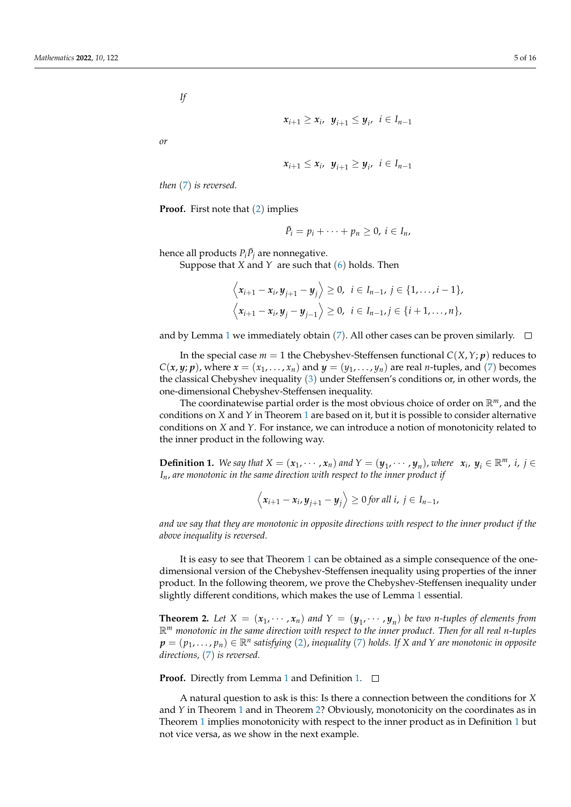*If*

$$
x_{i+1} \geq x_i, \ y_{i+1} \leq y_i, \ i \in I_{n-1}
$$

*or*

$$
x_{i+1} \leq x_i, y_{i+1} \geq y_i, i \in I_{n-1}
$$

*then* ([7](#page-3-0)) *is reversed.*

**Proof.** First note that ([2](#page-0-1)) implies

 $\bar{P}_i = p_i + \cdots + p_n \geq 0, i \in I_n$ ,

hence all products  $P_i \bar{P}_j$  are nonnegative.

Suppose that *X* and *Y* are such that ([6](#page-3-1)) holds. Then

$$
\left\langle x_{i+1} - x_i, y_{j+1} - y_j \right\rangle \geq 0, \ i \in I_{n-1}, \ j \in \{1, \ldots, i-1\},
$$
  

$$
\left\langle x_{i+1} - x_i, y_j - y_{j-1} \right\rangle \geq 0, \ i \in I_{n-1}, j \in \{i+1, \ldots, n\},
$$

and by Lemma [1](#page-1-0) we immediately obtain ([7](#page-3-0)). All other cases can be proven similarly.  $\Box$ 

In the special case  $m = 1$  the Chebyshev-Steffensen functional  $C(X, Y; p)$  reduces to  $C(x, y; p)$ , where  $x = (x_1, \ldots, x_n)$  and  $y = (y_1, \ldots, y_n)$  are real *n*-tuples, and ([7](#page-3-0)) becomes the classical Chebyshev inequality ([3](#page-1-1)) under Steffensen's conditions or, in other words, the one-dimensional Chebyshev-Steffensen inequality.

The coordinatewise partial order is the most obvious choice of order on R*m*, and the conditions on *X* and *Y* in Theorem [1](#page-3-2) are based on it, but it is possible to consider alternative conditions on *X* and *Y*. For instance, we can introduce a notion of monotonicity related to the inner product in the following way.

<span id="page-4-0"></span>**Definition 1.** We say that  $X = (x_1, \dots, x_n)$  and  $Y = (y_1, \dots, y_n)$ , where  $x_i$ ,  $y_i \in \mathbb{R}^m$ , i,  $j \in \mathbb{R}^m$ *In*, *are monotonic in the same direction with respect to the inner product if*

$$
\left\langle x_{i+1}-x_i, y_{j+1}-y_j\right\rangle \geq 0 \text{ for all } i, j \in I_{n-1},
$$

*and we say that they are monotonic in opposite directions with respect to the inner product if the above inequality is reversed.*

It is easy to see that Theorem [1](#page-3-2) can be obtained as a simple consequence of the onedimensional version of the Chebyshev-Steffensen inequality using properties of the inner product. In the following theorem, we prove the Chebyshev-Steffensen inequality under slightly different conditions, which makes the use of Lemma [1](#page-1-0) essential.

<span id="page-4-1"></span>**Theorem 2.** Let  $X = (x_1, \dots, x_n)$  and  $Y = (y_1, \dots, y_n)$  be two *n*-tuples of elements from R*<sup>m</sup> monotonic in the same direction with respect to the inner product. Then for all real n-tuples*  $\pmb{p}=(p_1,\ldots,p_n)\in\mathbb{R}^n$  satisfying  $(2)$  $(2)$  $(2)$ , inequality  $(7)$  $(7)$  $(7)$  holds. If X and Y are monotonic in opposite *directions,* ([7](#page-3-0)) *is reversed.*

**Proof.** Directly from Lemma [1](#page-1-0) and Definition [1.](#page-4-0) □

A natural question to ask is this: Is there a connection between the conditions for *X* and *Y* in Theorem [1](#page-3-2) and in Theorem [2?](#page-4-1) Obviously, monotonicity on the coordinates as in Theorem [1](#page-3-2) implies monotonicity with respect to the inner product as in Definition [1](#page-4-0) but not vice versa, as we show in the next example.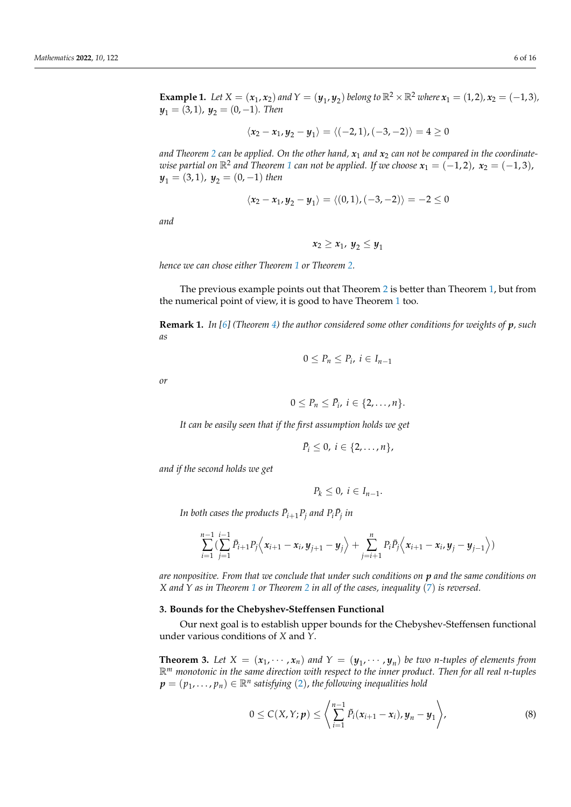**Example 1.** Let  $X = (x_1, x_2)$  and  $Y = (y_1, y_2)$  belong to  $\mathbb{R}^2 \times \mathbb{R}^2$  where  $x_1 = (1, 2)$ ,  $x_2 = (-1, 3)$ ,  $y_1 = (3, 1)$ ,  $y_2 = (0, -1)$ *. Then* 

$$
\langle x_2-x_1,y_2-y_1\rangle=\langle (-2,1),(-3,-2)\rangle=4\geq 0
$$

and Theorem [2](#page-4-1) can be applied. On the other hand,  $x_1$  and  $x_2$  can not be compared in the coordinate*wise partial on*  $\mathbb{R}^2$  *and Theorem [1](#page-3-2) can not be applied. If we choose*  $x_1 = (-1, 2)$ *,*  $x_2 = (-1, 3)$ *,*  $y_1 = (3, 1)$ ,  $y_2 = (0, -1)$  *then* 

$$
\langle x_2-x_1,y_2-y_1\rangle=\langle(0,1),(-3,-2)\rangle=-2\leq 0
$$

*and*

$$
x_2\geq x_1,\ y_2\leq y_1
$$

*hence we can chose either Theorem [1](#page-3-2) or Theorem [2.](#page-4-1)*

The previous example points out that Theorem [2](#page-4-1) is better than Theorem [1,](#page-3-2) but from the numerical point of view, it is good to have Theorem [1](#page-3-2) too.

<span id="page-5-2"></span>**Remark 1.** *In [\[6\]](#page-15-5) (Theorem [4\)](#page-6-0) the author considered some other conditions for weights of p, such as*

$$
0\leq P_n\leq P_i,\ i\in I_{n-1}
$$

*or*

$$
0\leq P_n\leq \bar{P}_i, i\in\{2,\ldots,n\}.
$$

*It can be easily seen that if the first assumption holds we get*

$$
\bar{P}_i\leq 0,\ i\in\{2,\ldots,n\},\
$$

*and if the second holds we get*

$$
P_k\leq 0,\ i\in I_{n-1}.
$$

In both cases the products  $\bar{P}_{i+1}P_j$  and  $P_i\bar{P}_j$  in

$$
\sum_{i=1}^{n-1} \left( \sum_{j=1}^{i-1} \bar{P}_{i+1} P_j \left\langle x_{i+1} - x_i, y_{j+1} - y_j \right\rangle + \sum_{j=i+1}^{n} P_i \bar{P}_j \left\langle x_{i+1} - x_i, y_j - y_{j-1} \right\rangle \right)
$$

*are nonpositive. From that we conclude that under such conditions on p and the same conditions on X and Y as in Theorem [1](#page-3-2) or Theorem [2](#page-4-1) in all of the cases, inequality* ([7](#page-3-0)) *is reversed.*

#### <span id="page-5-3"></span>**3. Bounds for the Chebyshev-Steffensen Functional**

Our next goal is to establish upper bounds for the Chebyshev-Steffensen functional under various conditions of *X* and *Y*.

<span id="page-5-1"></span>**Theorem 3.** Let  $X = (x_1, \dots, x_n)$  and  $Y = (y_1, \dots, y_n)$  be two *n*-tuples of elements from R*<sup>m</sup> monotonic in the same direction with respect to the inner product. Then for all real n-tuples*  $\boldsymbol{p}=(p_1,\ldots,p_n)\in\mathbb{R}^n$  satisfying  $(2)$  $(2)$  $(2)$ , the following inequalities hold

<span id="page-5-0"></span>
$$
0 \leq C(X,Y;\bm{p}) \leq \left\langle \sum_{i=1}^{n-1} \tilde{P}_i(x_{i+1}-x_i), y_n - y_1 \right\rangle,
$$
 (8)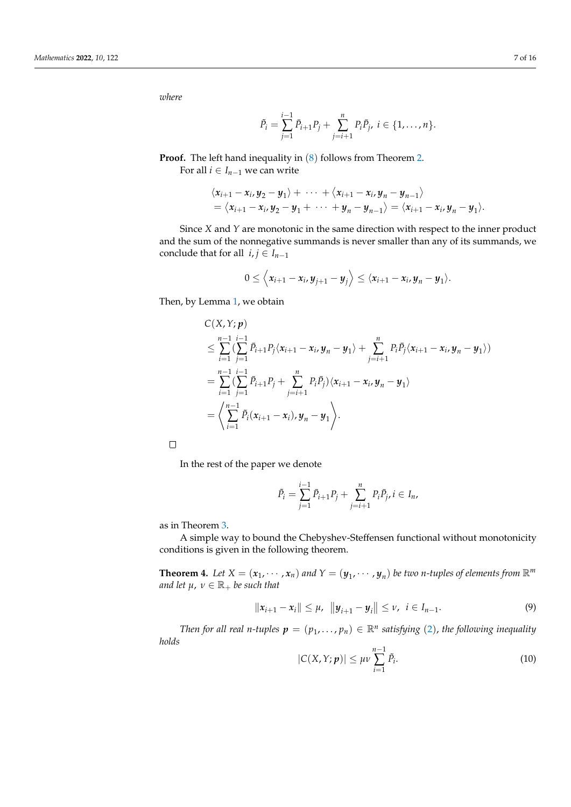*where*

$$
\tilde{P}_i = \sum_{j=1}^{i-1} \bar{P}_{i+1} P_j + \sum_{j=i+1}^{n} P_i \bar{P}_j, \ i \in \{1, \dots, n\}.
$$

**Proof.** The left hand inequality in  $(8)$  $(8)$  $(8)$  follows from Theorem [2.](#page-4-1)

For all  $i \in I_{n-1}$  we can write

$$
\langle x_{i+1}-x_i,y_2-y_1\rangle+\cdots+\langle x_{i+1}-x_i,y_n-y_{n-1}\rangle
$$
  
=  $\langle x_{i+1}-x_i,y_2-y_1+\cdots+y_n-y_{n-1}\rangle=\langle x_{i+1}-x_i,y_n-y_1\rangle.$ 

Since *X* and *Y* are monotonic in the same direction with respect to the inner product and the sum of the nonnegative summands is never smaller than any of its summands, we conclude that for all  $i, j \in I_{n-1}$ 

$$
0\leq \langle x_{i+1}-x_i,y_{j+1}-y_j\rangle\leq \langle x_{i+1}-x_i,y_n-y_1\rangle.
$$

Then, by Lemma [1,](#page-1-0) we obtain

$$
C(X, Y; p)
$$
  
\n
$$
\leq \sum_{i=1}^{n-1} (\sum_{j=1}^{i-1} \bar{P}_{i+1} P_j \langle x_{i+1} - x_i, y_n - y_1 \rangle + \sum_{j=i+1}^{n} P_i \bar{P}_j \langle x_{i+1} - x_i, y_n - y_1 \rangle)
$$
  
\n
$$
= \sum_{i=1}^{n-1} (\sum_{j=1}^{i-1} \bar{P}_{i+1} P_j + \sum_{j=i+1}^{n} P_i \bar{P}_j) \langle x_{i+1} - x_i, y_n - y_1 \rangle
$$
  
\n
$$
= \left\langle \sum_{i=1}^{n-1} \tilde{P}_i (x_{i+1} - x_i), y_n - y_1 \right\rangle.
$$

 $\Box$ 

In the rest of the paper we denote

$$
\tilde{P}_i = \sum_{j=1}^{i-1} \bar{P}_{i+1} P_j + \sum_{j=i+1}^{n} P_i \bar{P}_j, i \in I_n,
$$

as in Theorem [3.](#page-5-1)

A simple way to bound the Chebyshev-Steffensen functional without monotonicity conditions is given in the following theorem.

<span id="page-6-0"></span>**Theorem 4.** Let  $X = (x_1, \dots, x_n)$  and  $Y = (y_1, \dots, y_n)$  be two *n*-tuples of elements from  $\mathbb{R}^m$ *and let*  $\mu$ ,  $\nu \in \mathbb{R}_+$  *be such that* 

<span id="page-6-1"></span>
$$
||x_{i+1}-x_i|| \leq \mu, \ \ ||y_{i+1}-y_i|| \leq \nu, \ \ i \in I_{n-1}.
$$
 (9)

*Then for all real n-tuples*  $p = (p_1, \ldots, p_n) \in \mathbb{R}^n$  satisfying ([2](#page-0-1)), the following inequality *holds*

<span id="page-6-2"></span>
$$
|C(X,Y;\boldsymbol{p})| \leq \mu \nu \sum_{i=1}^{n-1} \tilde{P}_i.
$$
 (10)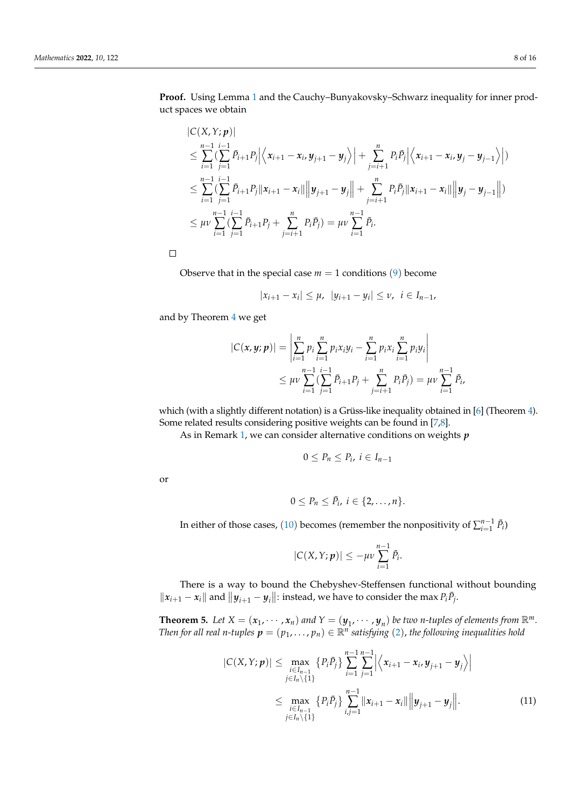**Proof.** Using Lemma [1](#page-1-0) and the Cauchy–Bunyakovsky–Schwarz inequality for inner product spaces we obtain

$$
|C(X,Y;p)|
$$
  
\n
$$
\leq \sum_{i=1}^{n-1} \sum_{j=1}^{i-1} \bar{P}_{i+1} P_j \Big| \Big\langle x_{i+1} - x_i, y_{j+1} - y_j \Big\rangle \Big| + \sum_{j=i+1}^{n} P_i \bar{P}_j \Big| \Big\langle x_{i+1} - x_i, y_j - y_{j-1} \Big\rangle \Big|
$$
  
\n
$$
\leq \sum_{i=1}^{n-1} \sum_{j=1}^{i-1} \sum_{j=1}^{n} P_{i+1} P_j \|x_{i+1} - x_i\| \Big\| y_{j+1} - y_j \Big\| + \sum_{j=i+1}^{n} P_i \bar{P}_j \|x_{i+1} - x_i\| \Big\| y_j - y_{j-1} \Big\|
$$
  
\n
$$
\leq \mu \nu \sum_{i=1}^{n-1} \sum_{j=1}^{i-1} \bar{P}_{i+1} P_j + \sum_{j=i+1}^{n} P_i \bar{P}_j = \mu \nu \sum_{i=1}^{n-1} \tilde{P}_i.
$$

 $\Box$ 

Observe that in the special case  $m = 1$  conditions ([9](#page-6-1)) become

$$
|x_{i+1}-x_i| \leq \mu, \ |y_{i+1}-y_i| \leq \nu, \ i \in I_{n-1},
$$

and by Theorem [4](#page-6-0) we get

$$
|C(\mathbf{x}, \mathbf{y}; \mathbf{p})| = \left| \sum_{i=1}^{n} p_i \sum_{i=1}^{n} p_i x_i y_i - \sum_{i=1}^{n} p_i x_i \sum_{i=1}^{n} p_i y_i \right|
$$
  

$$
\leq \mu \nu \sum_{i=1}^{n-1} \left( \sum_{j=1}^{i-1} \bar{P}_{i+1} P_j + \sum_{j=i+1}^{n} P_i \bar{P}_j \right) = \mu \nu \sum_{i=1}^{n-1} \tilde{P}_i,
$$

which (with a slightly different notation) is a Grüss-like inequality obtained in [\[6\]](#page-15-5) (Theorem [4\)](#page-6-0). Some related results considering positive weights can be found in [\[7](#page-15-6)[,8\]](#page-15-7).

As in Remark [1,](#page-5-2) we can consider alternative conditions on weights *p*

$$
0\leq P_n\leq P_i,\ i\in I_{n-1}
$$

or

$$
0\leq P_n\leq \bar{P}_i, i\in\{2,\ldots,n\}.
$$

In either of those cases, ([10](#page-6-2)) becomes (remember the nonpositivity of  $\sum_{i=1}^{n-1} \tilde{P}_i$ )

<span id="page-7-0"></span>
$$
|C(X,Y;p)| \leq -\mu \nu \sum_{i=1}^{n-1} \tilde{P}_i.
$$

There is a way to bound the Chebyshev-Steffensen functional without bounding  $||x_{i+1} - x_i||$  and  $||y_{i+1} - y_i||$ : instead, we have to consider the max  $P_i \bar{P}_j$ .

<span id="page-7-1"></span>**Theorem 5.** Let  $X = (x_1, \dots, x_n)$  and  $Y = (y_1, \dots, y_n)$  be two *n*-tuples of elements from  $\mathbb{R}^m$ . *Then for all real n-tuples*  $p = (p_1, ..., p_n) \in \mathbb{R}^n$  satisfying ([2](#page-0-1)), the following inequalities hold

$$
|C(X,Y;\boldsymbol{p})| \leq \max_{\substack{i\in I_{n-1} \\ j\in I_n\setminus\{1\}}} \left\{ P_i \bar{P}_j \right\} \sum_{i=1}^{n-1} \sum_{j=1}^{n-1} \left| \left\langle x_{i+1} - x_i, y_{j+1} - y_j \right\rangle \right|
$$
  

$$
\leq \max_{\substack{i\in I_{n-1} \\ j\in I_n\setminus\{1\}}} \left\{ P_i \bar{P}_j \right\} \sum_{i,j=1}^{n-1} \left\| x_{i+1} - x_i \right\| \left\| y_{j+1} - y_j \right\|. \tag{11}
$$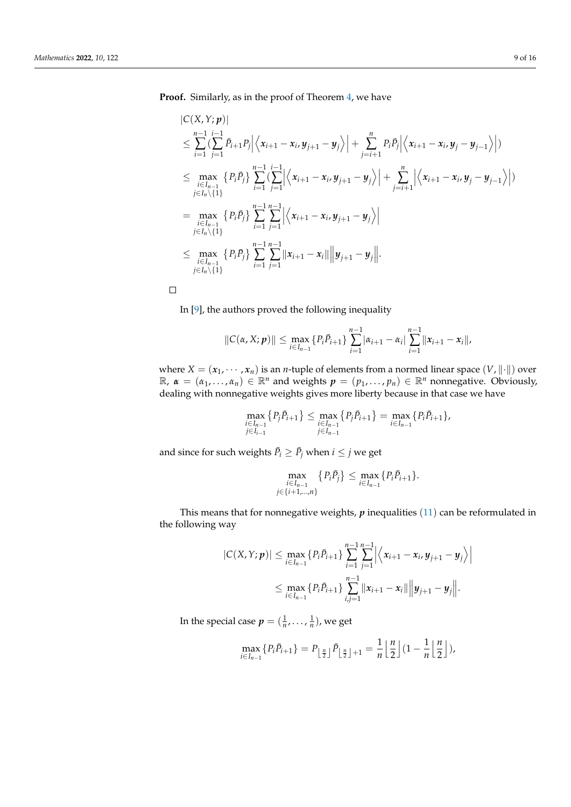**Proof.** Similarly, as in the proof of Theorem [4,](#page-6-0) we have

$$
|C(X,Y;\boldsymbol{p})|
$$
  
\n
$$
\leq \sum_{i=1}^{n-1} \sum_{j=1}^{i-1} \bar{P}_{i+1} P_j \Big| \Big\langle x_{i+1} - x_{i}, y_{j+1} - y_j \Big\rangle \Big| + \sum_{j=i+1}^{n} P_i \bar{P}_j \Big| \Big\langle x_{i+1} - x_{i}, y_{j} - y_{j-1} \Big\rangle \Big|)
$$
  
\n
$$
\leq \max_{i \in I_{n-1}} \Big\{ P_i \bar{P}_j \Big\} \sum_{i=1}^{n-1} \Big\langle \sum_{j=1}^{i-1} \Big| \Big\langle x_{i+1} - x_{i}, y_{j+1} - y_j \Big\rangle \Big| + \sum_{j=i+1}^{n} \Big| \Big\langle x_{i+1} - x_{i}, y_{j} - y_{j-1} \Big\rangle \Big|)
$$
  
\n
$$
= \max_{\substack{i \in I_{n-1} \\ j \in I_n \setminus \{1\}}} \Big\{ P_i \bar{P}_j \Big\} \sum_{i=1}^{n-1} \sum_{j=1}^{n-1} \Big| \Big\langle x_{i+1} - x_{i}, y_{j+1} - y_j \Big\rangle \Big|
$$
  
\n
$$
\leq \max_{\substack{i \in I_{n-1} \\ i \in I_{n-1}}} \Big\{ P_i \bar{P}_j \Big\} \sum_{i=1}^{n-1} \sum_{j=1}^{n-1} \|x_{i+1} - x_i\| \Big\| y_{j+1} - y_j \Big\|.
$$

 $\Box$ 

In [\[9\]](#page-15-8), the authors proved the following inequality

$$
||C(\alpha, X; \boldsymbol{p})|| \leq \max_{i \in I_{n-1}} \{P_i \overline{P}_{i+1}\} \sum_{i=1}^{n-1} |\alpha_{i+1} - \alpha_i| \sum_{i=1}^{n-1} ||x_{i+1} - x_i||,
$$

where  $X = (x_1, \dots, x_n)$  is an *n*-tuple of elements from a normed linear space  $(V, \|\cdot\|)$  over  $\mathbb{R}$ ,  $\alpha = (\alpha_1, \dots, \alpha_n) \in \mathbb{R}^n$  and weights  $p = (p_1, \dots, p_n) \in \mathbb{R}^n$  nonnegative. Obviously, dealing with nonnegative weights gives more liberty because in that case we have

$$
\max_{\substack{i\in I_{n-1}\\j\in I_{i-1}}} \{P_j \bar{P}_{i+1}\} \le \max_{\substack{i\in I_{n-1}\\j\in I_{n-1}}} \{P_j \bar{P}_{i+1}\} = \max_{i\in I_{n-1}} \{P_i \bar{P}_{i+1}\},
$$

and since for such weights  $\bar{P}_i \geq \bar{P}_j$  when  $i \leq j$  we get

$$
\max_{\substack{i\in I_{n-1}\\j\in\{i+1,\dots,n\}}} \{P_i\bar{P}_j\} \le \max_{i\in I_{n-1}} \{P_i\bar{P}_{i+1}\}.
$$

This means that for nonnegative weights, *p* inequalities ([11](#page-7-0)) can be reformulated in the following way

$$
|C(X,Y;\boldsymbol{p})| \leq \max_{i \in I_{n-1}} \{P_i \bar{P}_{i+1}\} \sum_{i=1}^{n-1} \sum_{j=1}^{n-1} \left| \left\langle x_{i+1} - x_i, y_{j+1} - y_j \right\rangle \right|
$$
  

$$
\leq \max_{i \in I_{n-1}} \{P_i \bar{P}_{i+1}\} \sum_{i,j=1}^{n-1} ||x_{i+1} - x_i|| \left\|y_{j+1} - y_j\right\|.
$$

In the special case  $p = (\frac{1}{n}, \ldots, \frac{1}{n})$ , we get

$$
\max_{i\in I_{n-1}}\{P_i\overline{P}_{i+1}\}=P_{\lfloor \frac{n}{2}\rfloor}\overline{P}_{\lfloor \frac{n}{2}\rfloor+1}=\frac{1}{n}\left\lfloor \frac{n}{2}\right\rfloor\left(1-\frac{1}{n}\left\lfloor \frac{n}{2}\right\rfloor\right),
$$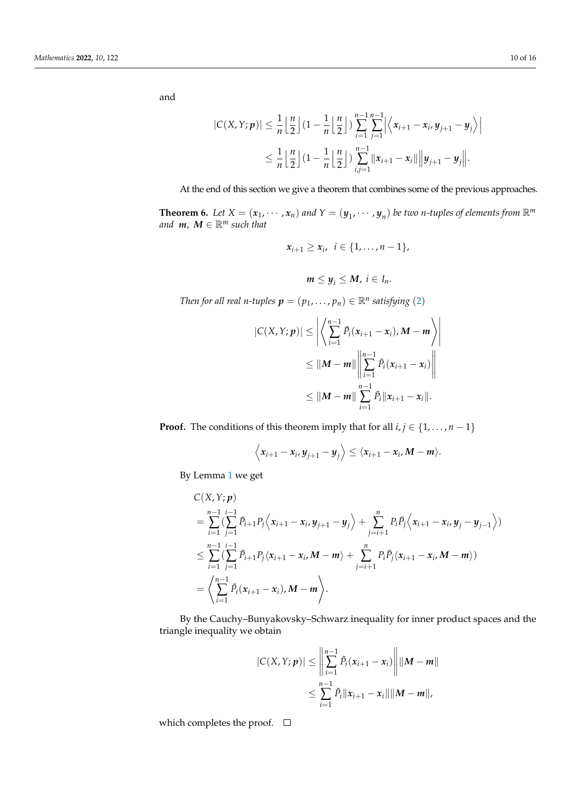and

$$
\begin{aligned} \left|C(X,Y;p)\right| &\leq \frac{1}{n}\left\lfloor\frac{n}{2}\right\rfloor\left(1-\frac{1}{n}\left\lfloor\frac{n}{2}\right\rfloor\right)\sum_{i=1}^{n-1}\sum_{j=1}^{n-1} \left|\left\langle x_{i+1}-x_i,y_{j+1}-y_j\right\rangle\right| \\ &\leq \frac{1}{n}\left\lfloor\frac{n}{2}\right\rfloor\left(1-\frac{1}{n}\left\lfloor\frac{n}{2}\right\rfloor\right)\sum_{i,j=1}^{n-1} \left\|x_{i+1}-x_i\right\|\left\|y_{j+1}-y_j\right\|.\end{aligned}
$$

At the end of this section we give a theorem that combines some of the previous approaches.

<span id="page-9-0"></span>**Theorem 6.** Let  $X = (x_1, \dots, x_n)$  and  $Y = (y_1, \dots, y_n)$  be two *n*-tuples of elements from  $\mathbb{R}^m$ *and*  $m, M \in \mathbb{R}^m$  *such that* 

$$
x_{i+1}\geq x_i, i\in\{1,\ldots,n-1\},\
$$

$$
m\leq y_i\leq M,\ i\in I_n.
$$

*Then for all real n-tuples*  $p = (p_1, ..., p_n) \in \mathbb{R}^n$  satisfying ([2](#page-0-1))

$$
|C(X,Y;p)| \leq \left| \left\langle \sum_{i=1}^{n-1} \tilde{P}_i(x_{i+1} - x_i), M - m \right\rangle \right|
$$
  

$$
\leq ||M - m|| \left\| \sum_{i=1}^{n-1} \tilde{P}_i(x_{i+1} - x_i) \right\|
$$
  

$$
\leq ||M - m|| \sum_{i=1}^{n-1} \tilde{P}_i ||x_{i+1} - x_i||.
$$

**Proof.** The conditions of this theorem imply that for all  $i, j \in \{1, \ldots, n-1\}$ 

$$
\left\langle x_{i+1}-x_i,y_{j+1}-y_j\right\rangle\leq \left\langle x_{i+1}-x_i,M-m\right\rangle.
$$

By Lemma [1](#page-1-0) we get

$$
C(X,Y;p)=\sum_{i=1}^{n-1}\sum_{j=1}^{i-1} \bar{P}_{i+1}P_j\Big\langle x_{i+1}-x_i,y_{j+1}-y_j\Big\rangle+\sum_{j=i+1}^{n} P_i\bar{P}_j\Big\langle x_{i+1}-x_i,y_j-y_{j-1}\Big\rangle)\leq \sum_{i=1}^{n-1}\sum_{j=1}^{i-1} \bar{P}_{i+1}P_j\langle x_{i+1}-x_i,M-m\rangle+\sum_{j=i+1}^{n} P_i\bar{P}_j\langle x_{i+1}-x_i,M-m\rangle)=\Big\langle \sum_{i=1}^{n-1} \tilde{P}_i(x_{i+1}-x_i),M-m\Big\rangle.
$$

By the Cauchy–Bunyakovsky–Schwarz inequality for inner product spaces and the triangle inequality we obtain

$$
|C(X, Y; p)| \le \left\| \sum_{i=1}^{n-1} \tilde{P}_i(x_{i+1} - x_i) \right\| \|M - m\|
$$
  

$$
\le \sum_{i=1}^{n-1} \tilde{P}_i \|x_{i+1} - x_i\| \|M - m\|,
$$

which completes the proof.  $\square$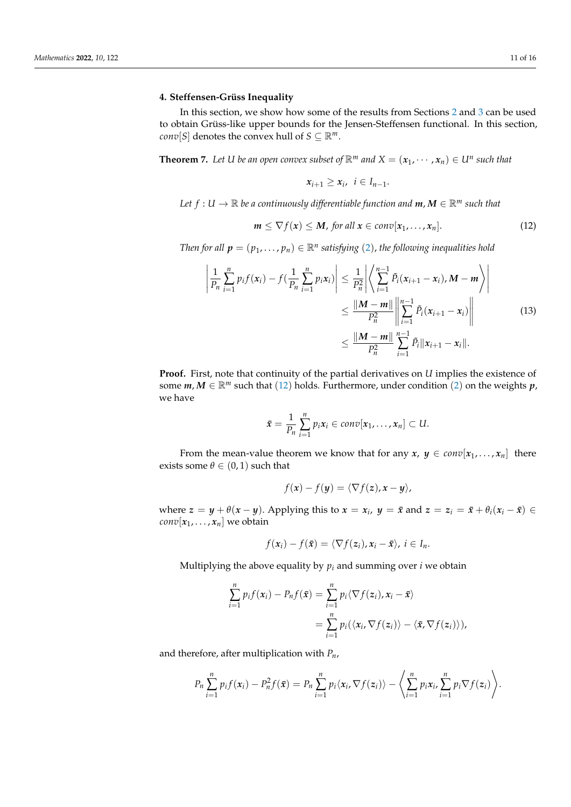## <span id="page-10-3"></span>**4. Steffensen-Grüss Inequality**

In this section, we show how some of the results from Sections [2](#page-1-2) and [3](#page-5-3) can be used to obtain Grüss-like upper bounds for the Jensen-Steffensen functional. In this section, *conv*[*S*] denotes the convex hull of *S*  $\subseteq \mathbb{R}^m$ .

<span id="page-10-2"></span>**Theorem 7.** Let U be an open convex subset of  $\mathbb{R}^m$  and  $X = (x_1, \dots, x_n) \in U^n$  such that

<span id="page-10-1"></span>
$$
x_{i+1}\geq x_i, \ \ i\in I_{n-1}.
$$

*Let*  $f: U \to \mathbb{R}$  *be a continuously differentiable function and*  $m, M \in \mathbb{R}^m$  *such that* 

<span id="page-10-0"></span>
$$
m \leq \nabla f(x) \leq M, \text{ for all } x \in \text{conv}[x_1, \ldots, x_n]. \tag{12}
$$

*Then for all*  $p = (p_1, \ldots, p_n) \in \mathbb{R}^n$  satisfying ([2](#page-0-1)), the following inequalities hold

$$
\left| \frac{1}{P_n} \sum_{i=1}^n p_i f(x_i) - f(\frac{1}{P_n} \sum_{i=1}^n p_i x_i) \right| \leq \frac{1}{P_n^2} \left| \left\langle \sum_{i=1}^{n-1} \tilde{P}_i (x_{i+1} - x_i), M - m \right\rangle \right|
$$
  

$$
\leq \frac{\|M - m\|}{P_n^2} \left\| \sum_{i=1}^{n-1} \tilde{P}_i (x_{i+1} - x_i) \right\|
$$
  

$$
\leq \frac{\|M - m\|}{P_n^2} \sum_{i=1}^{n-1} \tilde{P}_i \|x_{i+1} - x_i\|.
$$
 (13)

**Proof.** First, note that continuity of the partial derivatives on *U* implies the existence of some  $m, M \in \mathbb{R}^m$  such that ([12](#page-10-0)) holds. Furthermore, under condition ([2](#page-0-1)) on the weights  $p$ , we have

$$
\bar{x}=\frac{1}{P_n}\sum_{i=1}^n p_i x_i\in conv[x_1,\ldots,x_n]\subset U.
$$

From the mean-value theorem we know that for any  $x, y \in conv[x_1, \ldots, x_n]$  there exists some  $\theta \in (0,1)$  such that

$$
f(\mathbf{x}) - f(\mathbf{y}) = \langle \nabla f(\mathbf{z}), \mathbf{x} - \mathbf{y} \rangle,
$$

where  $z = y + \theta(x - y)$ . Applying this to  $x = x_i$ ,  $y = \bar{x}$  and  $z = z_i = \bar{x} + \theta_i(x_i - \bar{x}) \in$ *conv*[ $x_1$ , . . . ,  $x_n$ ] we obtain

$$
f(\mathbf{x}_i) - f(\bar{\mathbf{x}}) = \langle \nabla f(\mathbf{z}_i), \mathbf{x}_i - \bar{\mathbf{x}} \rangle, \ i \in I_n.
$$

Multiplying the above equality by  $p_i$  and summing over  $i$  we obtain

$$
\sum_{i=1}^{n} p_i f(x_i) - P_n f(\bar{x}) = \sum_{i=1}^{n} p_i \langle \nabla f(z_i), x_i - \bar{x} \rangle
$$
  
= 
$$
\sum_{i=1}^{n} p_i (\langle x_i, \nabla f(z_i) \rangle - \langle \bar{x}, \nabla f(z_i) \rangle),
$$

and therefore, after multiplication with *Pn*,

$$
P_n\sum_{i=1}^n p_i f(x_i) - P_n^2 f(\bar{x}) = P_n\sum_{i=1}^n p_i \langle x_i, \nabla f(z_i) \rangle - \left\langle \sum_{i=1}^n p_i x_i, \sum_{i=1}^n p_i \nabla f(z_i) \right\rangle.
$$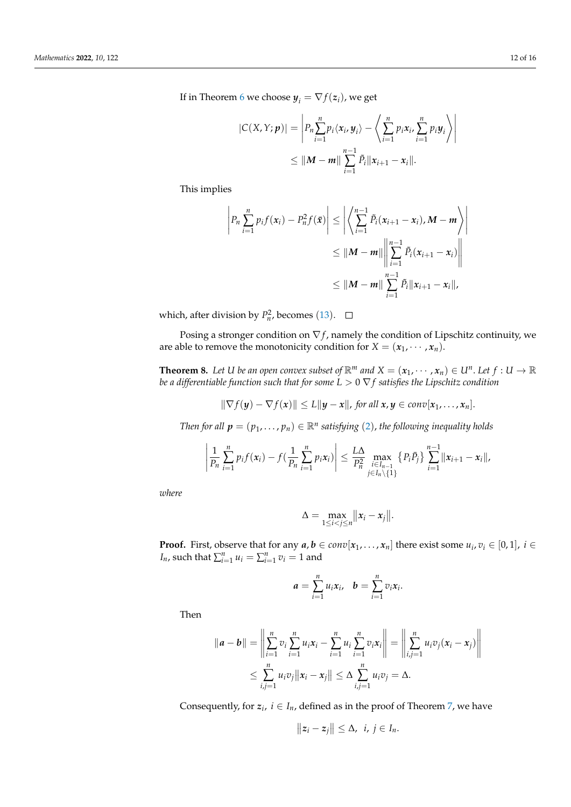If in Theorem [6](#page-9-0) we choose  $y_i = \nabla f(z_i)$ , we get

$$
|C(X,Y;p)| = \left| P_n \sum_{i=1}^n p_i \langle x_i, y_i \rangle - \left\langle \sum_{i=1}^n p_i x_i, \sum_{i=1}^n p_i y_i \right\rangle \right|
$$
  
 
$$
\leq ||M-m|| \sum_{i=1}^{n-1} \tilde{P}_i ||x_{i+1} - x_i||.
$$

This implies

$$
\left| P_n \sum_{i=1}^n p_i f(x_i) - P_n^2 f(\bar{x}) \right| \le \left| \left\langle \sum_{i=1}^{n-1} \tilde{P}_i (x_{i+1} - x_i), M - m \right\rangle \right|
$$
  

$$
\le \|M - m\| \left\| \sum_{i=1}^{n-1} \tilde{P}_i (x_{i+1} - x_i) \right\|
$$
  

$$
\le \|M - m\| \sum_{i=1}^{n-1} \tilde{P}_i \|x_{i+1} - x_i\|,
$$

which, after division by  $P_n^2$ , becomes ([13](#page-10-1)).

Posing a stronger condition on  $\nabla f$ , namely the condition of Lipschitz continuity, we are able to remove the monotonicity condition for *X* =  $(x_1, \dots, x_n)$ .

**Theorem 8.** Let U be an open convex subset of  $\mathbb{R}^m$  and  $X = (x_1, \dots, x_n) \in U^n$ . Let  $f : U \to \mathbb{R}$ *be a differentiable function such that for some L* > 0 ∇ *f satisfies the Lipschitz condition*

$$
\|\nabla f(\mathbf{y}) - \nabla f(\mathbf{x})\| \le L \|\mathbf{y} - \mathbf{x}\|, \text{ for all } \mathbf{x}, \mathbf{y} \in \text{conv}[\mathbf{x}_1, \ldots, \mathbf{x}_n].
$$

*Then for all*  $p = (p_1, \ldots, p_n) \in \mathbb{R}^n$  satisfying ([2](#page-0-1)), the following inequality holds

$$
\left|\frac{1}{P_n}\sum_{i=1}^n p_i f(x_i) - f(\frac{1}{P_n}\sum_{i=1}^n p_i x_i)\right| \leq \frac{L\Delta}{P_n^2}\max_{\substack{i\in I_{n-1} \\ j\in I_n\setminus\{1\}}} \left\{P_i \bar{P}_j\right\} \sum_{i=1}^{n-1} \|x_{i+1} - x_i\|,
$$

*where*

$$
\Delta = \max_{1 \leq i < j \leq n} \lVert x_i - x_j \rVert.
$$

**Proof.** First, observe that for any  $a, b \in conv[x_1, \ldots, x_n]$  there exist some  $u_i, v_i \in [0, 1]$ ,  $i \in$ *I*<sup>*n*</sup>, such that  $\sum_{i=1}^{n} u_i = \sum_{i=1}^{n} v_i = 1$  and

$$
a=\sum_{i=1}^n u_i x_i, \quad b=\sum_{i=1}^n v_i x_i.
$$

Then

$$
||a - b|| = \left\| \sum_{i=1}^{n} v_i \sum_{i=1}^{n} u_i x_i - \sum_{i=1}^{n} u_i \sum_{i=1}^{n} v_i x_i \right\| = \left\| \sum_{i,j=1}^{n} u_i v_j (x_i - x_j) \right\|
$$
  

$$
\leq \sum_{i,j=1}^{n} u_i v_j ||x_i - x_j|| \leq \Delta \sum_{i,j=1}^{n} u_i v_j = \Delta.
$$

Consequently, for  $z_i$ ,  $i \in I_n$ , defined as in the proof of Theorem [7,](#page-10-2) we have  $\ddotsc$ 

 $\mathcal{L}_{\mathcal{L}}$ 

$$
||z_i-z_j||\leq \Delta, \ \ i, j\in I_n.
$$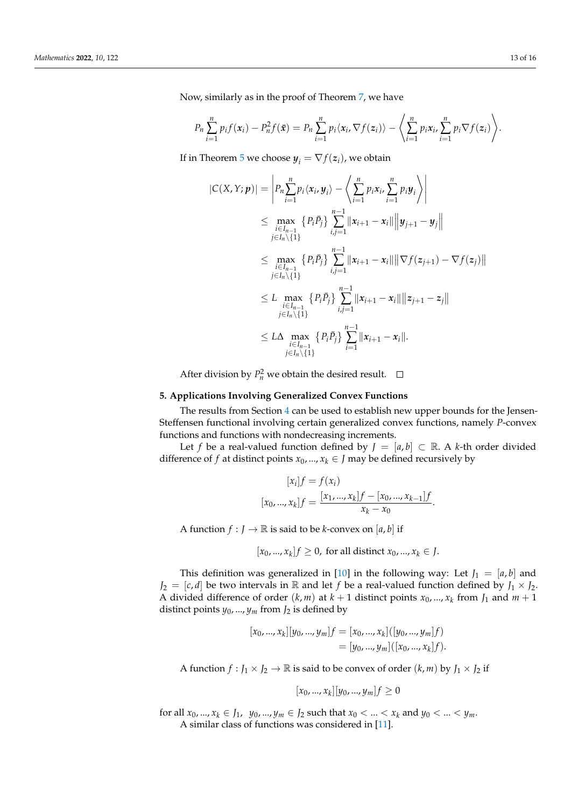Now, similarly as in the proof of Theorem [7,](#page-10-2) we have

$$
P_n\sum_{i=1}^n p_i f(x_i) - P_n^2 f(\bar{x}) = P_n\sum_{i=1}^n p_i \langle x_i, \nabla f(z_i) \rangle - \left\langle \sum_{i=1}^n p_i x_i, \sum_{i=1}^n p_i \nabla f(z_i) \right\rangle.
$$

If in Theorem [5](#page-7-1) we choose  $y_i = \nabla f(z_i)$ , we obtain

$$
|C(X,Y;\boldsymbol{p})| = \left| P_n \sum_{i=1}^n p_i \langle x_i, y_i \rangle - \left\langle \sum_{i=1}^n p_i x_i, \sum_{i=1}^n p_i y_i \right\rangle \right|
$$
  
\n
$$
\leq \max_{\substack{i \in I_{n-1} \\ j \in I_n \setminus \{1\}}} \left\{ P_i \bar{P}_j \right\} \sum_{i,j=1}^{n-1} ||x_{i+1} - x_i|| \left\| y_{j+1} - y_j \right\|
$$
  
\n
$$
\leq \max_{\substack{i \in I_{n-1} \\ j \in I_n \setminus \{1\}}} \left\{ P_i \bar{P}_j \right\} \sum_{i,j=1}^{n-1} ||x_{i+1} - x_i|| \left\| \nabla f(z_{j+1}) - \nabla f(z_j) \right\|
$$
  
\n
$$
\leq L \max_{\substack{i \in I_{n-1} \\ j \in I_n \setminus \{1\}}} \left\{ P_i \bar{P}_j \right\} \sum_{i,j=1}^{n-1} ||x_{i+1} - x_i|| ||z_{j+1} - z_j||
$$
  
\n
$$
\leq L \Delta \max_{\substack{i \in I_{n-1} \\ i \in I_n \setminus \{1\}}} \left\{ P_i \bar{P}_j \right\} \sum_{i=1}^{n-1} ||x_{i+1} - x_i||.
$$

After division by  $P_n^2$  we obtain the desired result.

## **5. Applications Involving Generalized Convex Functions**

The results from Section [4](#page-10-3) can be used to establish new upper bounds for the Jensen-Steffensen functional involving certain generalized convex functions, namely *P*-convex functions and functions with nondecreasing increments.

Let *f* be a real-valued function defined by  $J = [a, b] \subset \mathbb{R}$ . A *k*-th order divided difference of *f* at distinct points  $x_0$ , ...,  $x_k \in J$  may be defined recursively by

$$
[x_i]f = f(x_i)
$$
  
[x<sub>0</sub>, ..., x<sub>k</sub>]f = 
$$
\frac{[x_1, ..., x_k]f - [x_0, ..., x_{k-1}]f}{x_k - x_0}.
$$

A function  $f : J \to \mathbb{R}$  is said to be *k*-convex on [*a*, *b*] if

 $[x_0, ..., x_k]$ *f*  $\geq 0$ , for all distinct  $x_0, ..., x_k \in J$ .

This definition was generalized in [\[10\]](#page-15-9) in the following way: Let  $J_1 = [a, b]$  and  $J_2 = [c, d]$  be two intervals in R and let *f* be a real-valued function defined by  $J_1 \times J_2$ . A divided difference of order  $(k, m)$  at  $k + 1$  distinct points  $x_0, ..., x_k$  from  $J_1$  and  $m + 1$ distinct points  $y_0$ , ...,  $y_m$  from  $J_2$  is defined by

$$
[x_0, ..., x_k][y_0, ..., y_m]f = [x_0, ..., x_k]([y_0, ..., y_m]f)
$$
  
= 
$$
[y_0, ..., y_m]([x_0, ..., x_k]f).
$$

A function  $f : J_1 \times J_2 \to \mathbb{R}$  is said to be convex of order  $(k, m)$  by  $J_1 \times J_2$  if

$$
[x_0, ..., x_k][y_0, ..., y_m]f \ge 0
$$

for all  $x_0, ..., x_k \in J_1$ ,  $y_0, ..., y_m \in J_2$  such that  $x_0 < ... < x_k$  and  $y_0 < ... < y_m$ . A similar class of functions was considered in [\[11\]](#page-15-10).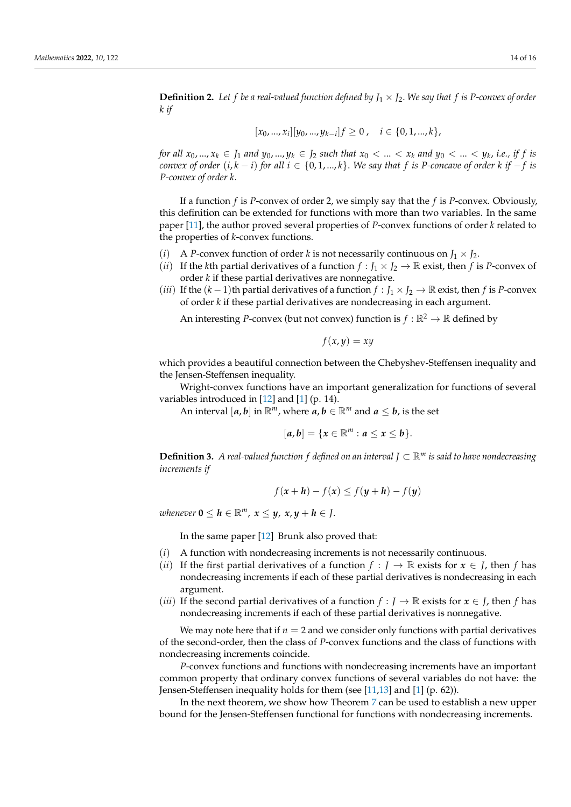**Definition 2.** Let f be a real-valued function defined by  $J_1 \times J_2$ . We say that f is P-convex of order *k if*

$$
[x_0, ..., x_i][y_0, ..., y_{k-i}]f \ge 0, \quad i \in \{0, 1, ..., k\},\
$$

for all  $x_0,...,x_k \in J_1$  and  $y_0,...,y_k \in J_2$  such that  $x_0 < ... < x_k$  and  $y_0 < ... < y_k$ , i.e., if f is *convex of order*  $(i, k - i)$  *for all*  $i \in \{0, 1, \ldots, k\}$ . We say that *f* is *P*-concave of order  $k$  *if* − *f is P-convex of order k*.

If a function *f* is *P*-convex of order 2, we simply say that the *f* is *P*-convex. Obviously, this definition can be extended for functions with more than two variables. In the same paper [\[11\]](#page-15-10), the author proved several properties of *P*-convex functions of order *k* related to the properties of *k*-convex functions.

- (*i*) A *P*-convex function of order *k* is not necessarily continuous on  $J_1 \times J_2$ .
- (*ii*) If the *k*th partial derivatives of a function  $f : J_1 \times J_2 \to \mathbb{R}$  exist, then f is *P*-convex of order *k* if these partial derivatives are nonnegative.
- (*iii*) If the  $(k-1)$ th partial derivatives of a function  $f : J_1 \times J_2 \to \mathbb{R}$  exist, then f is *P*-convex of order *k* if these partial derivatives are nondecreasing in each argument.

An interesting *P*-convex (but not convex) function is  $f : \mathbb{R}^2 \to \mathbb{R}$  defined by

$$
f(x,y)=xy
$$

which provides a beautiful connection between the Chebyshev-Steffensen inequality and the Jensen-Steffensen inequality.

Wright-convex functions have an important generalization for functions of several variables introduced in [\[12\]](#page-15-11) and [\[1\]](#page-15-0) (p. 14).

An interval  $[a, b]$  in  $\mathbb{R}^m$ , where  $a, b \in \mathbb{R}^m$  and  $a \leq b$ , is the set

$$
[a,b]=\{x\in\mathbb{R}^m: a\leq x\leq b\}.
$$

**Definition 3.** *A real-valued function f defined on an interval J* ⊂ R*<sup>m</sup> is said to have nondecreasing increments if*

$$
f(x+h) - f(x) \le f(y+h) - f(y)
$$

*whenever*  $0 \leq h \in \mathbb{R}^m$ ,  $x \leq y$ ,  $x, y + h \in J$ .

In the same paper [\[12\]](#page-15-11) Brunk also proved that:

- (*i*) A function with nondecreasing increments is not necessarily continuous.
- (*ii*) If the first partial derivatives of a function  $f : J \to \mathbb{R}$  exists for  $x \in J$ , then f has nondecreasing increments if each of these partial derivatives is nondecreasing in each argument.
- *(iii)* If the second partial derivatives of a function  $f : J \to \mathbb{R}$  exists for  $x \in J$ , then f has nondecreasing increments if each of these partial derivatives is nonnegative.

We may note here that if  $n = 2$  and we consider only functions with partial derivatives of the second-order, then the class of *P*-convex functions and the class of functions with nondecreasing increments coincide.

*P*-convex functions and functions with nondecreasing increments have an important common property that ordinary convex functions of several variables do not have: the Jensen-Steffensen inequality holds for them (see [\[11](#page-15-10)[,13\]](#page-15-12) and [\[1\]](#page-15-0) (p. 62)).

In the next theorem, we show how Theorem [7](#page-10-2) can be used to establish a new upper bound for the Jensen-Steffensen functional for functions with nondecreasing increments.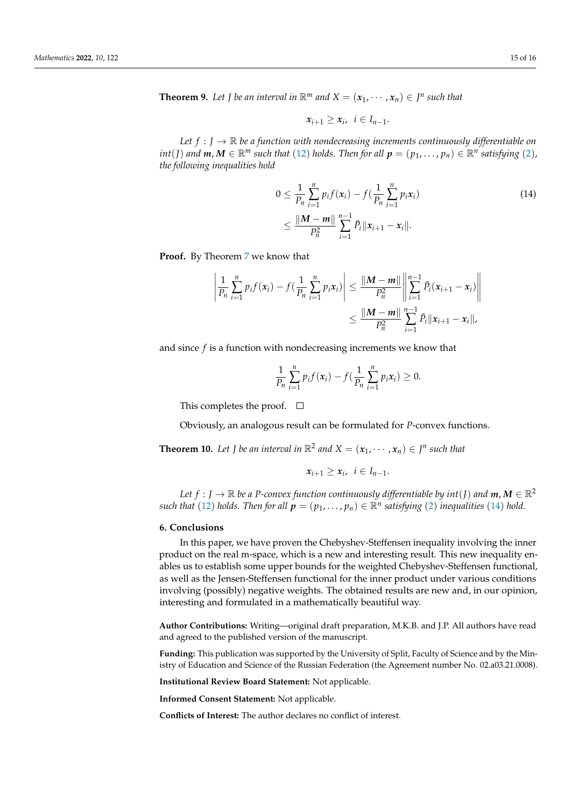**Theorem 9.** Let *J* be an interval in  $\mathbb{R}^m$  and  $X = (x_1, \dots, x_n) \in J^n$  such that

<span id="page-14-0"></span>
$$
x_{i+1}\geq x_i, \ \ i\in I_{n-1}.
$$

*Let*  $f : J \to \mathbb{R}$  *be a function with nondecreasing increments continuously differentiable on*  $int(J)$  and  $m, M \in \mathbb{R}^m$  such that ([12](#page-10-0)) holds. Then for all  $p = (p_1, \ldots, p_n) \in \mathbb{R}^n$  satisfying ([2](#page-0-1)), *the following inequalities hold*

$$
0 \leq \frac{1}{P_n} \sum_{i=1}^n p_i f(x_i) - f(\frac{1}{P_n} \sum_{i=1}^n p_i x_i)
$$
  
 
$$
\leq \frac{\|M - m\|}{P_n^2} \sum_{i=1}^{n-1} \tilde{P}_i \|x_{i+1} - x_i\|.
$$
 (14)

**Proof.** By Theorem [7](#page-10-2) we know that

$$
\left| \frac{1}{P_n} \sum_{i=1}^n p_i f(x_i) - f(\frac{1}{P_n} \sum_{i=1}^n p_i x_i) \right| \leq \frac{\|M - m\|}{P_n^2} \left\| \sum_{i=1}^{n-1} \tilde{P}_i (x_{i+1} - x_i) \right\|
$$
  

$$
\leq \frac{\|M - m\|}{P_n^2} \sum_{i=1}^{n-1} \tilde{P}_i \|x_{i+1} - x_i\|,
$$

and since *f* is a function with nondecreasing increments we know that

$$
\frac{1}{P_n}\sum_{i=1}^n p_i f(x_i) - f(\frac{1}{P_n}\sum_{i=1}^n p_i x_i) \geq 0.
$$

This completes the proof.  $\square$ 

Obviously, an analogous result can be formulated for *P*-convex functions.

**Theorem 10.** Let *J* be an interval in  $\mathbb{R}^2$  and  $X = (x_1, \dots, x_n) \in J^n$  such that

$$
x_{i+1}\geq x_i, \ \ i\in I_{n-1}.
$$

*Let*  $f : J \to \mathbb{R}$  *be a P-convex function continuously differentiable by int*(*J*) *and*  $m, M \in \mathbb{R}^2$  $such$  *that* ([12](#page-10-0)) *holds. Then for all*  $p = (p_1, \ldots, p_n) \in \mathbb{R}^n$  *satisfying* ([2](#page-0-1)) *inequalities* ([14](#page-14-0)) *hold.* 

#### **6. Conclusions**

In this paper, we have proven the Chebyshev-Steffensen inequality involving the inner product on the real m-space, which is a new and interesting result. This new inequality enables us to establish some upper bounds for the weighted Chebyshev-Steffensen functional, as well as the Jensen-Steffensen functional for the inner product under various conditions involving (possibly) negative weights. The obtained results are new and, in our opinion, interesting and formulated in a mathematically beautiful way.

**Author Contributions:** Writing—original draft preparation, M.K.B. and J.P. All authors have read and agreed to the published version of the manuscript.

**Funding:** This publication was supported by the University of Split, Faculty of Science and by the Ministry of Education and Science of the Russian Federation (the Agreement number No. 02.a03.21.0008).

**Institutional Review Board Statement:** Not applicable.

**Informed Consent Statement:** Not applicable.

**Conflicts of Interest:** The author declares no conflict of interest.